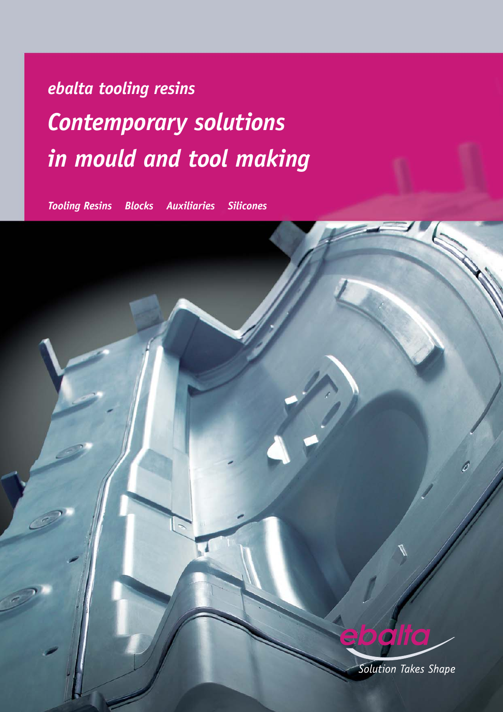# *ebalta tooling resins Contemporary solutions in mould and tool making*

*Tooling Resins Blocks Auxiliaries Silicones*

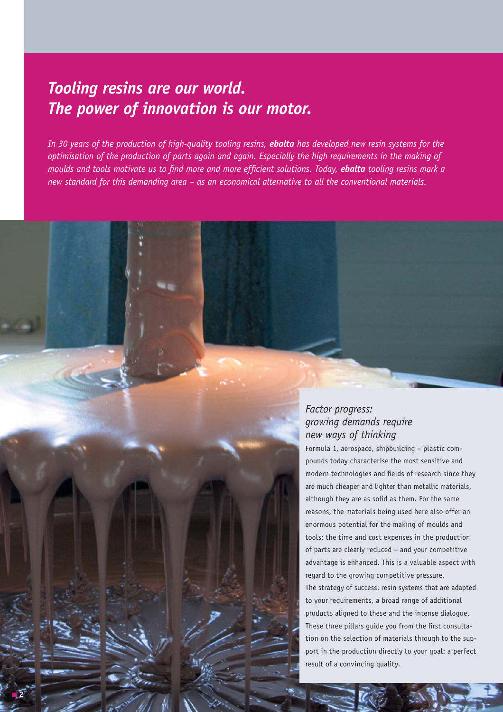### *Tooling resins are our world. The power of innovation is our motor.*

**2**

*In 30 years of the production of high-quality tooling resins, ebalta has developed new resin systems for the optimisation of the production of parts again and again. Especially the high requirements in the making of moulds and tools motivate us to find more and more efficient solutions. Today, ebalta tooling resins mark a new standard for this demanding area – as an economical alternative to all the conventional materials.* 

### *Factor progress: growing demands require new ways of thinking*

Formula 1, aerospace, shipbuilding – plastic compounds today characterise the most sensitive and modern technologies and fields of research since they are much cheaper and lighter than metallic materials, although they are as solid as them. For the same reasons, the materials being used here also offer an enormous potential for the making of moulds and tools: the time and cost expenses in the production of parts are clearly reduced – and your competitive advantage is enhanced. This is a valuable aspect with regard to the growing competitive pressure. The strategy of success: resin systems that are adapted to your requirements, a broad range of additional products aligned to these and the intense dialogue. These three pillars guide you from the first consultation on the selection of materials through to the support in the production directly to your goal: a perfect result of a convincing quality.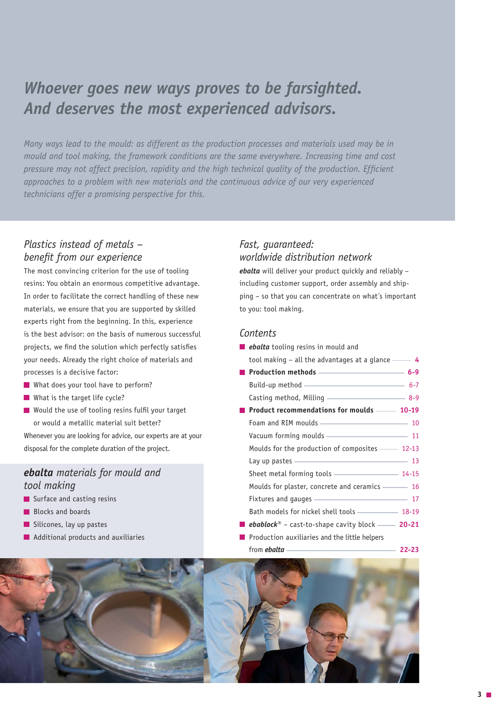### *Whoever goes new ways proves to be farsighted. And deserves the most experienced advisors.*

*Many ways lead to the mould: as different as the production processes and materials used may be in mould and tool making, the framework conditions are the same everywhere. Increasing time and cost pressure may not affect precision, rapidity and the high technical quality of the production. Efficient approaches to a problem with new materials and the continuous advice of our very experienced technicians offer a promising perspective for this.* 

#### *Plastics instead of metals – benefit from our experience*

The most convincing criterion for the use of tooling resins: You obtain an enormous competitive advantage. In order to facilitate the correct handling of these new materials, we ensure that you are supported by skilled experts right from the beginning. In this, experience is the best advisor: on the basis of numerous successful projects, we find the solution which perfectly satisfies your needs. Already the right choice of materials and processes is a decisive factor:

- What does your tool have to perform?
- What is the target life cycle?
- Would the use of tooling resins fulfil your target or would a metallic material suit better?

Whenever you are looking for advice, our experts are at your disposal for the complete duration of the project.

#### *ebalta materials for mould and tool making*

- Surface and casting resins
- **Blocks and boards**
- Silicones, lay up pastes
- **Additional products and auxiliaries**

### *Fast, guaranteed: worldwide distribution network*

*ebalta* will deliver your product quickly and reliably – including customer support, order assembly and shipping – so that you can concentrate on what´s important to you: tool making.

#### *Contents*

| <b>ebalta</b> tooling resins in mould and                                                                                                                                                                                            |  |
|--------------------------------------------------------------------------------------------------------------------------------------------------------------------------------------------------------------------------------------|--|
| tool making $-$ all the advantages at a glance $-$ 4                                                                                                                                                                                 |  |
|                                                                                                                                                                                                                                      |  |
| Build-up method - 6-7                                                                                                                                                                                                                |  |
| Casting method, Milling <u>____________________</u> 8-9                                                                                                                                                                              |  |
| Product recommendations for moulds —— 10-19                                                                                                                                                                                          |  |
| Foam and RIM moulds ———————————————————— 10                                                                                                                                                                                          |  |
| Vacuum forming moulds <u>- and the state of</u> 11                                                                                                                                                                                   |  |
| Moulds for the production of composites - 12-13                                                                                                                                                                                      |  |
| Lay up pastes <u>expression and the set of the set of the set of the set of the set of the set of the set of the set of the set of the set of the set of the set of the set of the set of the set of the set of the set of the s</u> |  |
| Sheet metal forming tools - 14-15                                                                                                                                                                                                    |  |
| Moulds for plaster, concrete and ceramics - 16                                                                                                                                                                                       |  |
| Fixtures and gauges <u>and states</u> 17                                                                                                                                                                                             |  |
| Bath models for nickel shell tools —————————— 18-19                                                                                                                                                                                  |  |
| <b><i>ebablock</i></b> <sup>®</sup> – cast-to-shape cavity block —— 20-21                                                                                                                                                            |  |
| Production auxiliaries and the little helpers                                                                                                                                                                                        |  |
| from <i>ebalta</i> $\longrightarrow$                                                                                                                                                                                                 |  |

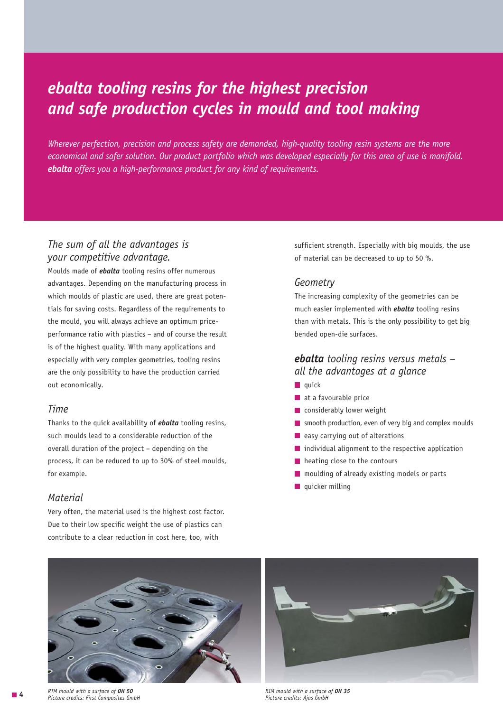### *ebalta tooling resins for the highest precision and safe production cycles in mould and tool making*

*Wherever perfection, precision and process safety are demanded, high-quality tooling resin systems are the more economical and safer solution. Our product portfolio which was developed especially for this area of use is manifold. ebalta offers you a high-performance product for any kind of requirements.*

### *The sum of all the advantages is your competitive advantage.*

Moulds made of *ebalta* tooling resins offer numerous advantages. Depending on the manufacturing process in which moulds of plastic are used, there are great potentials for saving costs. Regardless of the requirements to the mould, you will always achieve an optimum priceperformance ratio with plastics – and of course the result is of the highest quality. With many applications and especially with very complex geometries, tooling resins are the only possibility to have the production carried out economically.

#### *Time*

Thanks to the quick availability of *ebalta* tooling resins, such moulds lead to a considerable reduction of the overall duration of the project – depending on the process, it can be reduced to up to 30% of steel moulds, for example.

#### *Material*

Very often, the material used is the highest cost factor. Due to their low specific weight the use of plastics can contribute to a clear reduction in cost here, too, with

sufficient strength. Especially with big moulds, the use of material can be decreased to up to 50 %.

#### *Geometry*

The increasing complexity of the geometries can be much easier implemented with *ebalta* tooling resins than with metals. This is the only possibility to get big bended open-die surfaces.

### *ebalta tooling resins versus metals – all the advantages at a glance*

- $\blacksquare$  quick
- $\blacksquare$  at a favourable price
- **Considerably lower weight**
- smooth production, even of very big and complex moulds
- $\blacksquare$  easy carrying out of alterations
- **individual alignment to the respective application**
- **h** heating close to the contours
- **n** moulding of already existing models or parts
- $\blacksquare$  quicker milling





*Picture credits: First Composites GmbH Picture credits: Ajas GmbH* **4***RIM mould with a surface of OH 35*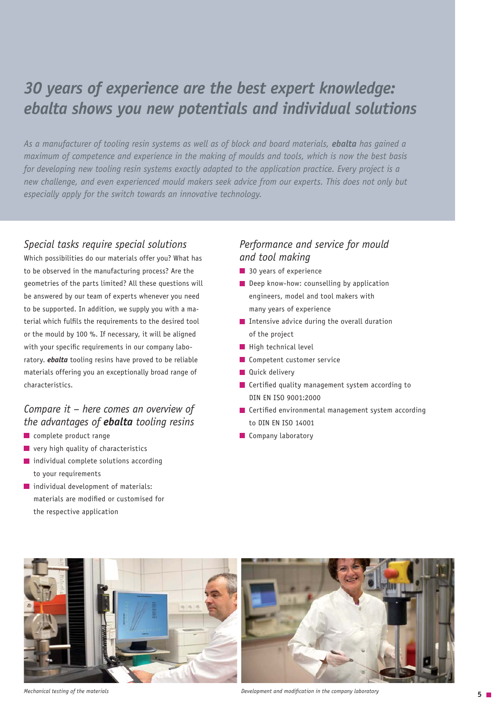### *30 years of experience are the best expert knowledge: ebalta shows you new potentials and individual solutions*

As a manufacturer of tooling resin systems as well as of block and board materials, **ebalta** has gained a *maximum of competence and experience in the making of moulds and tools, which is now the best basis for developing new tooling resin systems exactly adapted to the application practice. Every project is a new challenge, and even experienced mould makers seek advice from our experts. This does not only but especially apply for the switch towards an innovative technology.* 

### *Special tasks require special solutions*

Which possibilities do our materials offer you? What has to be observed in the manufacturing process? Are the geometries of the parts limited? All these questions will be answered by our team of experts whenever you need to be supported. In addition, we supply you with a material which fulfils the requirements to the desired tool or the mould by 100 %. If necessary, it will be aligned with your specific requirements in our company laboratory. *ebalta* tooling resins have proved to be reliable materials offering you an exceptionally broad range of characteristics.

### *Compare it – here comes an overview of the advantages of ebalta tooling resins*

- complete product range
- **u** very high quality of characteristics
- $\blacksquare$  individual complete solutions according to your requirements
- individual development of materials: materials are modified or customised for the respective application

### *Performance and service for mould and tool making*

- **30 years of experience**
- Deep know-how: counselling by application engineers, model and tool makers with many years of experience
- Intensive advice during the overall duration of the project
- $\blacksquare$  High technical level
- Competent customer service
- **Quick delivery**
- **Certified quality management system according to** DIN EN ISO 9001:2000
- **Certified environmental management system according** to DIN EN ISO 14001
- **Company laboratory**





*Mechanical testing of the materials Development and modification in the company laboratory* **5**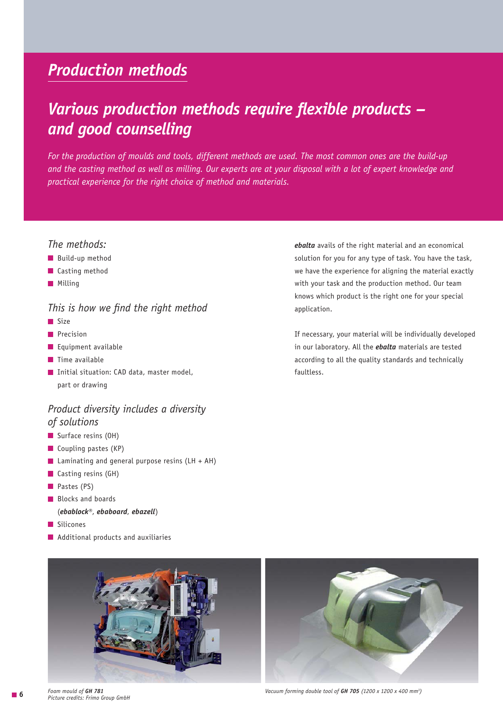### *Production methods*

### *Various production methods require flexible products – and good counselling*

*For the production of moulds and tools, different methods are used. The most common ones are the build-up and the casting method as well as milling. Our experts are at your disposal with a lot of expert knowledge and practical experience for the right choice of method and materials.*

#### *The methods:*

- **Build-up method**
- Casting method
- **Milling**

#### *This is how we find the right method*

- $\blacksquare$
- **Precision**
- **Equipment available**
- $\blacksquare$  Time available
- Initial situation: CAD data, master model, part or drawing

#### *Product diversity includes a diversity of solutions*

- Surface resins (OH)
- Coupling pastes (KP)
- **Laminating and general purpose resins (LH + AH)**
- Casting resins (GH)
- Pastes (PS)
- **Blocks and boards** 
	- (*ebablock®*, *ebaboard*, *ebazell*)
- Silicones
- **Additional products and auxiliaries**



If necessary, your material will be individually developed in our laboratory. All the *ebalta* materials are tested according to all the quality standards and technically faultless.

application.

*ebalta* avails of the right material and an economical solution for you for any type of task. You have the task, we have the experience for aligning the material exactly with your task and the production method. Our team knows which product is the right one for your special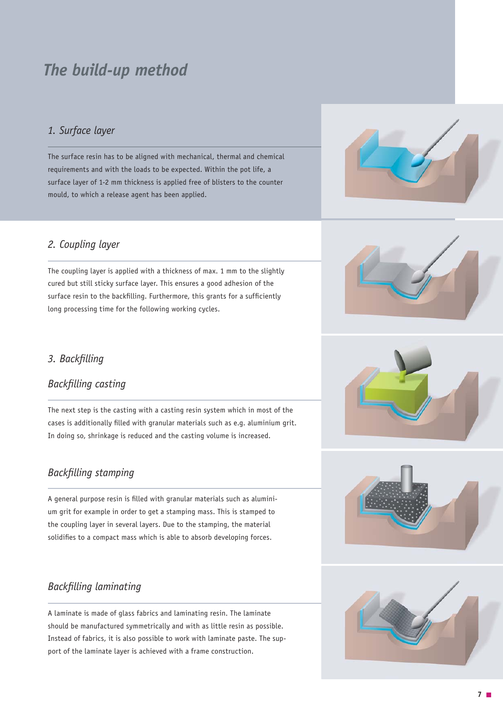### *The build-up method*

### *1. Surface layer*

The surface resin has to be aligned with mechanical, thermal and chemical requirements and with the loads to be expected. Within the pot life, a surface layer of 1-2 mm thickness is applied free of blisters to the counter mould, to which a release agent has been applied.

#### *2. Coupling layer*

The coupling layer is applied with a thickness of max. 1 mm to the slightly cured but still sticky surface layer. This ensures a good adhesion of the surface resin to the backfilling. Furthermore, this grants for a sufficiently long processing time for the following working cycles.



### *3. Backfilling*

#### *Backfilling casting*

The next step is the casting with a casting resin system which in most of the cases is additionally filled with granular materials such as e.g. aluminium grit. In doing so, shrinkage is reduced and the casting volume is increased.

#### *Backfilling stamping*

A general purpose resin is filled with granular materials such as aluminium grit for example in order to get a stamping mass. This is stamped to the coupling layer in several layers. Due to the stamping, the material solidifies to a compact mass which is able to absorb developing forces.

#### *Backfilling laminating*

A laminate is made of glass fabrics and laminating resin. The laminate should be manufactured symmetrically and with as little resin as possible. Instead of fabrics, it is also possible to work with laminate paste. The support of the laminate layer is achieved with a frame construction.





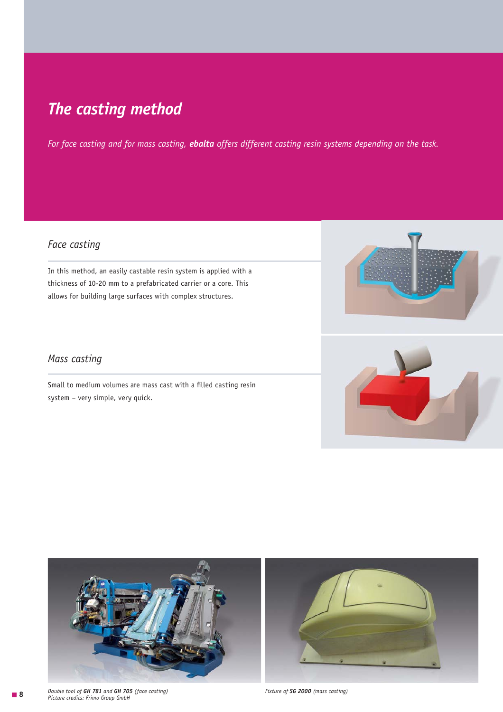### *The casting method*

*For face casting and for mass casting, ebalta offers different casting resin systems depending on the task.* 

### *Face casting*

In this method, an easily castable resin system is applied with a thickness of 10-20 mm to a prefabricated carrier or a core. This allows for building large surfaces with complex structures.



### *Mass casting*

Small to medium volumes are mass cast with a filled casting resin system – very simple, very quick.



**8**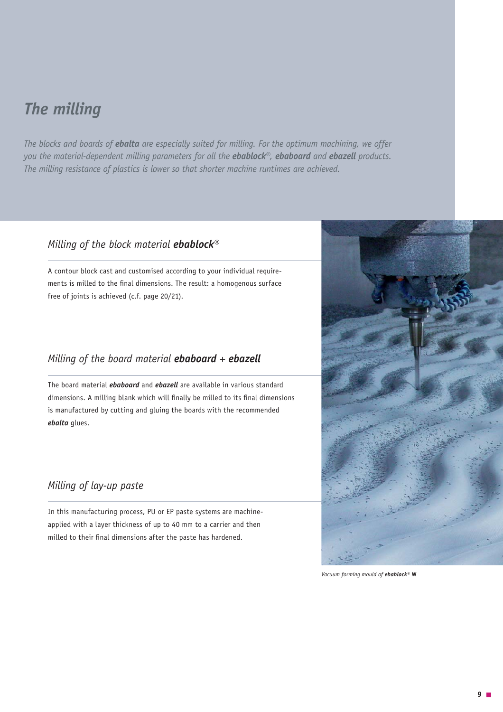### *The milling*

*The blocks and boards of ebalta are especially suited for milling. For the optimum machining, we offer you the material-dependent milling parameters for all the ebablock®, ebaboard and ebazell products. The milling resistance of plastics is lower so that shorter machine runtimes are achieved.*

### *Milling of the block material ebablock®*

A contour block cast and customised according to your individual requirements is milled to the final dimensions. The result: a homogenous surface free of joints is achieved (c.f. page 20/21).

### *Milling of the board material ebaboard + ebazell*

The board material *ebaboard* and *ebazell* are available in various standard dimensions. A milling blank which will finally be milled to its final dimensions is manufactured by cutting and gluing the boards with the recommended *ebalta* glues.

### *Milling of lay-up paste*

In this manufacturing process, PU or EP paste systems are machineapplied with a layer thickness of up to 40 mm to a carrier and then milled to their final dimensions after the paste has hardened.



*Vacuum forming mould of ebablock®* **W**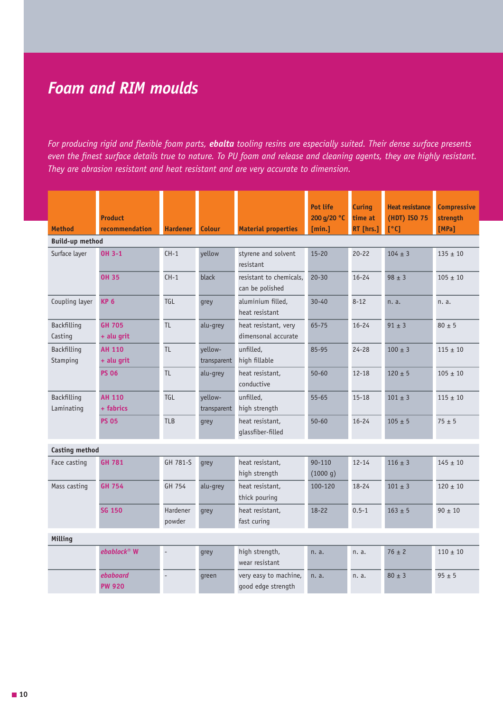### *Foam and RIM moulds*

*For producing rigid and flexible foam parts, ebalta tooling resins are especially suited. Their dense surface presents even the finest surface details true to nature. To PU foam and release and cleaning agents, they are highly resistant. They are abrasion resistant and heat resistant and are very accurate to dimension.* 

| <b>Method</b>             | <b>Product</b><br>recommendation | <b>Hardener</b>          | <b>Colour</b>          | <b>Material properties</b>                  | <b>Pot life</b><br>200 g/20 °C<br>[min.] | Curing<br>time at<br>RT [hrs.] | <b>Heat resistance</b><br>(HDT) ISO 75<br>[°C] | <b>Compressive</b><br>strength<br>[MPa] |
|---------------------------|----------------------------------|--------------------------|------------------------|---------------------------------------------|------------------------------------------|--------------------------------|------------------------------------------------|-----------------------------------------|
| <b>Build-up method</b>    |                                  |                          |                        |                                             |                                          |                                |                                                |                                         |
| Surface layer             | <b>OH 3-1</b>                    | $CH-1$                   | yellow                 | styrene and solvent<br>resistant            | $15 - 20$                                | $20 - 22$                      | $104 \pm 3$                                    | $135 \pm 10$                            |
|                           | <b>OH 35</b>                     | $CH-1$                   | black                  | resistant to chemicals.<br>can be polished  | $20 - 30$                                | $16 - 24$                      | $98 \pm 3$                                     | $105 \pm 10$                            |
| Coupling layer            | <b>KP 6</b>                      | TGL                      | grey                   | aluminium filled,<br>heat resistant         | $30 - 40$                                | $8 - 12$                       | n. a.                                          | n. a.                                   |
| Backfilling<br>Casting    | <b>GH 705</b><br>+ alu grit      | <b>TL</b>                | alu-grey               | heat resistant, very<br>dimensonal accurate | 65-75                                    | $16 - 24$                      | $91 \pm 3$                                     | $80 \pm 5$                              |
| Backfilling<br>Stamping   | <b>AH 110</b><br>+ alu grit      | <b>TL</b>                | yellow-<br>transparent | unfilled.<br>high fillable                  | 85-95                                    | $24 - 28$                      | $100 \pm 3$                                    | $115 \pm 10$                            |
|                           | <b>PS 06</b>                     | <b>TL</b>                | alu-grey               | heat resistant,<br>conductive               | $50 - 60$                                | $12 - 18$                      | $120 \pm 5$                                    | $105 \pm 10$                            |
| Backfilling<br>Laminating | <b>AH 110</b><br>+ fabrics       | <b>TGL</b>               | yellow-<br>transparent | unfilled,<br>high strength                  | $55 - 65$                                | $15 - 18$                      | $101 \pm 3$                                    | $115 \pm 10$                            |
|                           | <b>PS 05</b>                     | <b>TLB</b>               | grey                   | heat resistant,<br>glassfiber-filled        | $50 - 60$                                | $16 - 24$                      | $105 \pm 5$                                    | $75 \pm 5$                              |
| <b>Casting method</b>     |                                  |                          |                        |                                             |                                          |                                |                                                |                                         |
| Face casting              | <b>GH 781</b>                    | GH 781-S                 | grey                   | heat resistant,<br>high strength            | 90-110<br>(1000 q)                       | $12 - 14$                      | $116 \pm 3$                                    | $145 \pm 10$                            |
| Mass casting              | <b>GH 754</b>                    | GH 754                   | alu-grey               | heat resistant,<br>thick pouring            | 100-120                                  | $18 - 24$                      | $101 \pm 3$                                    | $120 \pm 10$                            |
|                           | <b>SG 150</b>                    | Hardener<br>powder       | grey                   | heat resistant.<br>fast curing              | $18 - 22$                                | $0.5 - 1$                      | $163 \pm 5$                                    | $90 \pm 10$                             |
| Milling                   |                                  |                          |                        |                                             |                                          |                                |                                                |                                         |
|                           | $ebablock^*$ W                   | L.                       | grey                   | high strength,<br>wear resistant            | n. a.                                    | n. a.                          | $76 \pm 2$                                     | $110 \pm 10$                            |
|                           | ebaboard<br><b>PW 920</b>        | $\overline{\phantom{a}}$ | qreen                  | very easy to machine,<br>good edge strength | n. a.                                    | n. a.                          | $80 \pm 3$                                     | $95 \pm 5$                              |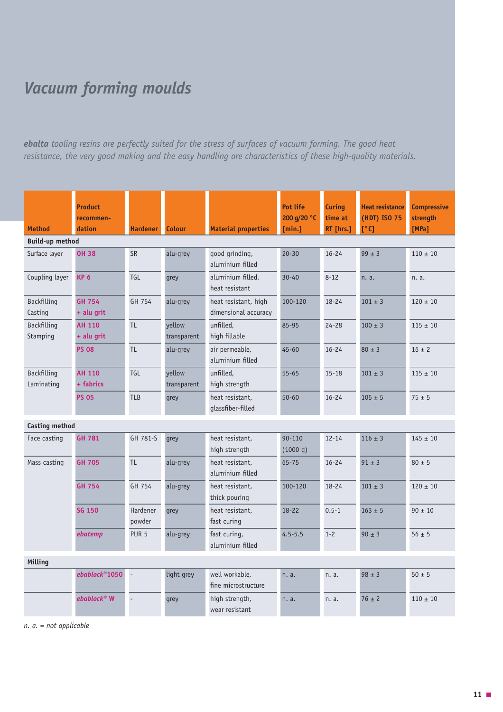## *Vacuum forming moulds*

*ebalta tooling resins are perfectly suited for the stress of surfaces of vacuum forming. The good heat resistance, the very good making and the easy handling are characteristics of these high-quality materials.*

| <b>Method</b>                  | <b>Product</b><br>recommen-<br>dation | <b>Hardener</b>          | <b>Colour</b>         | <b>Material properties</b>                   | Pot life<br>200 g/20 °C<br>[min.] | <b>Curing</b><br>time at<br>RT [hrs.] | <b>Heat resistance</b><br>(HDT) ISO 75<br>[°C] | <b>Compressive</b><br>strength<br>[MPa] |
|--------------------------------|---------------------------------------|--------------------------|-----------------------|----------------------------------------------|-----------------------------------|---------------------------------------|------------------------------------------------|-----------------------------------------|
| <b>Build-up method</b>         |                                       |                          |                       |                                              |                                   |                                       |                                                |                                         |
| Surface layer                  | <b>OH 38</b>                          | <b>SR</b>                | alu-grey              | good grinding,<br>aluminium filled           | $20 - 30$                         | $16 - 24$                             | $99 \pm 3$                                     | $110 \pm 10$                            |
| Coupling layer                 | <b>KP 6</b>                           | TGL                      | grey                  | aluminium filled.<br>heat resistant          | $30 - 40$                         | $8 - 12$                              | n. a.                                          | n. a.                                   |
| Backfilling<br>Casting         | <b>GH 754</b><br>+ alu grit           | GH 754                   | alu-grey              | heat resistant, high<br>dimensional accuracy | 100-120                           | $18 - 24$                             | $101 \pm 3$                                    | $120 \pm 10$                            |
| <b>Backfilling</b><br>Stamping | <b>AH 110</b><br>+ alu grit           | <b>TL</b>                | yellow<br>transparent | unfilled,<br>high fillable                   | 85-95                             | $24 - 28$                             | $100 \pm 3$                                    | $115 \pm 10$                            |
|                                | <b>PS 08</b>                          | <b>TL</b>                | alu-grey              | air permeable,<br>aluminium filled           | $45 - 60$                         | $16 - 24$                             | $80 \pm 3$                                     | $16 \pm 2$                              |
| Backfilling<br>Laminating      | <b>AH 110</b><br>+ fabrics            | TGL                      | yellow<br>transparent | unfilled,<br>high strength                   | $55 - 65$                         | $15 - 18$                             | $101 \pm 3$                                    | $115 \pm 10$                            |
|                                | <b>PS 05</b>                          | <b>TLB</b>               | grey                  | heat resistant,<br>qlassfiber-filled         | $50 - 60$                         | $16 - 24$                             | $105 + 5$                                      | $75 \pm 5$                              |
| <b>Casting method</b>          |                                       |                          |                       |                                              |                                   |                                       |                                                |                                         |
| Face casting                   | <b>GH 781</b>                         | GH 781-S                 | grey                  | heat resistant,<br>high strength             | 90-110<br>(1000 g)                | $12 - 14$                             | $116 \pm 3$                                    | $145 \pm 10$                            |
| Mass casting                   | <b>GH 705</b>                         | <b>TL</b>                | alu-grey              | heat resistant,<br>aluminium filled          | 65-75                             | $16 - 24$                             | $91 \pm 3$                                     | $80 \pm 5$                              |
|                                | <b>GH 754</b>                         | GH 754                   | alu-grey              | heat resistant,<br>thick pouring             | 100-120                           | $18 - 24$                             | $101 \pm 3$                                    | $120 \pm 10$                            |
|                                | <b>SG 150</b>                         | Hardener<br>powder       | grey                  | heat resistant,<br>fast curing               | $18 - 22$                         | $0.5 - 1$                             | $163 + 5$                                      | $90 \pm 10$                             |
|                                | ebatemp                               | PUR <sub>5</sub>         | alu-grey              | fast curing,<br>aluminium filled             | $4.5 - 5.5$                       | $1 - 2$                               | $90 \pm 3$                                     | $56 \pm 5$                              |
| Milling                        |                                       |                          |                       |                                              |                                   |                                       |                                                |                                         |
|                                | $ebablock$ <sup>®</sup> 1050          | $\overline{\phantom{a}}$ | light grey            | well workable.<br>fine microstructure        | n. a.                             | n. a.                                 | $98 \pm 3$                                     | $50 \pm 5$                              |
|                                | $ebablock^@$ W                        |                          | grey                  | high strength,<br>wear resistant             | n. a.                             | n. a.                                 | $76 \pm 2$                                     | $110 \pm 10$                            |

 *n. a. = not applicable*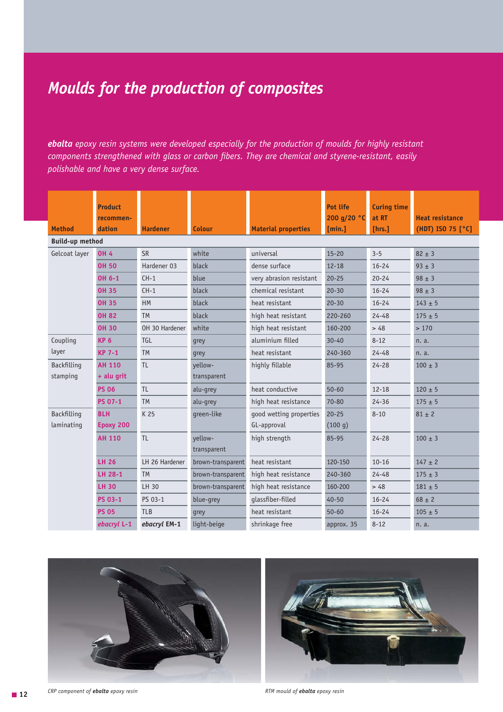## *Moulds for the production of composites*

*ebalta epoxy resin systems were developed especially for the production of moulds for highly resistant components strengthened with glass or carbon fibers. They are chemical and styrene-resistant, easily polishable and have a very dense surface.* 

| <b>Method</b>          | <b>Product</b><br>recommen-<br>dation | <b>Hardener</b> | <b>Colour</b>     | <b>Material properties</b> | Pot life<br>200 g/20 °C<br>[min.] | <b>Curing time</b><br>at RT<br>[hrs.] | <b>Heat resistance</b><br>(HDT) ISO 75 [°C] |
|------------------------|---------------------------------------|-----------------|-------------------|----------------------------|-----------------------------------|---------------------------------------|---------------------------------------------|
| <b>Build-up method</b> |                                       |                 |                   |                            |                                   |                                       |                                             |
| Gelcoat layer          | <b>OH 4</b>                           | <b>SR</b>       | white             | universal                  | $15 - 20$                         | $3 - 5$                               | $82 \pm 3$                                  |
|                        | <b>OH 50</b>                          | Hardener 03     | black             | dense surface              | $12 - 18$                         | $16 - 24$                             | $93 \pm 3$                                  |
|                        | OH 6-1                                | $CH-1$          | blue              | very abrasion resistant    | $20 - 25$                         | $20 - 24$                             | $98 \pm 3$                                  |
|                        | <b>OH 35</b>                          | $CH-1$          | black             | chemical resistant         | $20 - 30$                         | $16 - 24$                             | $98 \pm 3$                                  |
|                        | <b>OH 35</b>                          | <b>HM</b>       | black             | heat resistant             | $20 - 30$                         | $16 - 24$                             | $143 \pm 5$                                 |
|                        | <b>OH 82</b>                          | <b>TM</b>       | black             | high heat resistant        | 220-260                           | $24 - 48$                             | $175 \pm 5$                                 |
|                        | <b>OH 30</b>                          | OH 30 Hardener  | white             | high heat resistant        | 160-200                           | > 48                                  | >170                                        |
| Coupling               | <b>KP 6</b>                           | <b>TGL</b>      | grey              | aluminium filled           | $30 - 40$                         | $8 - 12$                              | n. a.                                       |
| layer                  | <b>KP 7-1</b>                         | <b>TM</b>       | grey              | heat resistant             | 240-360                           | $24 - 48$                             | n. a.                                       |
| Backfilling            | <b>AH 110</b>                         | <b>TL</b>       | vellow-           | highly fillable            | 85-95                             | $24 - 28$                             | $100 \pm 3$                                 |
| stamping               | + alu grit                            |                 | transparent       |                            |                                   |                                       |                                             |
|                        | <b>PS 06</b>                          | <b>TL</b>       | alu-grey          | heat conductive            | $50 - 60$                         | $12 - 18$                             | $120 \pm 5$                                 |
|                        | <b>PS 07-1</b>                        | <b>TM</b>       | alu-grey          | high heat resistance       | 70-80                             | $24 - 36$                             | $175 \pm 5$                                 |
| Backfilling            | <b>BLH</b>                            | K 25            | green-like        | good wetting properties    | $20 - 25$                         | $8 - 10$                              | $81 \pm 2$                                  |
| laminating             | Epoxy 200                             |                 |                   | GL-approval                | (100 g)                           |                                       |                                             |
|                        | <b>AH 110</b>                         | <b>TL</b>       | vellow-           | high strength              | 85-95                             | $24 - 28$                             | $100 \pm 3$                                 |
|                        |                                       |                 | transparent       |                            |                                   |                                       |                                             |
|                        | <b>LH 26</b>                          | LH 26 Hardener  | brown-transparent | heat resistant             | 120-150                           | $10 - 16$                             | $147 \pm 2$                                 |
|                        | LH 28-1                               | <b>TM</b>       | brown-transparent | high heat resistance       | 240-360                           | $24 - 48$                             | $175 \pm 3$                                 |
|                        | <b>LH 30</b>                          | LH 30           | brown-transparent | high heat resistance       | 160-200                           | > 48                                  | $181 \pm 5$                                 |
|                        | <b>PS 03-1</b>                        | PS 03-1         | blue-grey         | qlassfiber-filled          | $40 - 50$                         | $16 - 24$                             | $68 \pm 2$                                  |
|                        | <b>PS 05</b>                          | <b>TLB</b>      | grey              | heat resistant             | $50 - 60$                         | $16 - 24$                             | $105 \pm 5$                                 |
|                        | ebacryl L-1                           | ebacryl EM-1    | light-beige       | shrinkage free             | approx. 35                        | $8 - 12$                              | n. a.                                       |





**12** *CRP component of ebalta epoxy resin RTM mould of ebalta epoxy resin*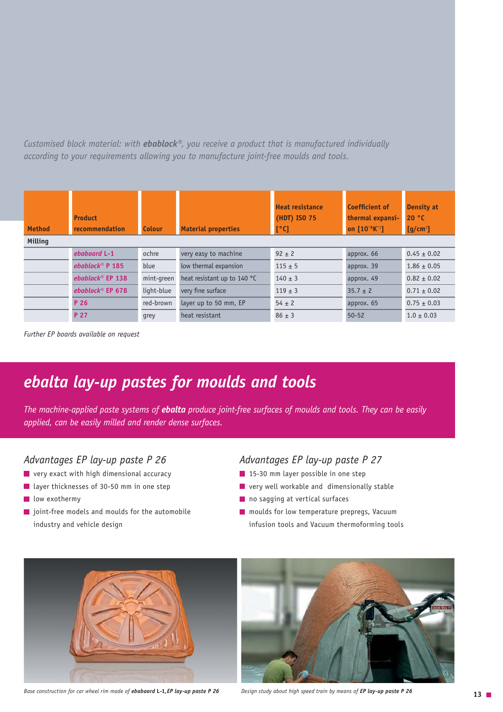*Customised block material: with ebablock®, you receive a product that is manufactured individually according to your requirements allowing you to manufacture joint-free moulds and tools.*

| <b>Method</b>  | <b>Product</b><br>recommendation | <b>Colour</b> | <b>Material properties</b>  | <b>Heat resistance</b><br>(HDT) ISO 75<br>[°C] | <b>Coefficient of</b><br>thermal expansi-<br>on $[10^{-6}K^{-1}]$ | <b>Density at</b><br>20 °C<br>$[g/cm^3]$ |
|----------------|----------------------------------|---------------|-----------------------------|------------------------------------------------|-------------------------------------------------------------------|------------------------------------------|
| <b>Milling</b> |                                  |               |                             |                                                |                                                                   |                                          |
|                | ebaboard L-1                     | ochre         | very easy to machine        | $92 \pm 2$                                     | approx. 66                                                        | $0.45 \pm 0.02$                          |
|                | ebablock <sup>®</sup> $P$ 185    | blue          | low thermal expansion       | $115 \pm 5$                                    | approx. 39                                                        | $1.86 \pm 0.05$                          |
|                | ebablock <sup>®</sup> EP 138     | mint-green    | heat resistant up to 140 °C | $140 \pm 3$                                    | approx. 49                                                        | $0.82 \pm 0.02$                          |
|                | ebablock® EP 678                 | light-blue    | very fine surface           | $119 \pm 3$                                    | $35.7 \pm 2$                                                      | $0.71 \pm 0.02$                          |
|                | P 26                             | red-brown     | layer up to 50 mm, EP       | $54 \pm 2$                                     | approx. 65                                                        | $0.75 \pm 0.03$                          |
|                | P 27                             | grey          | heat resistant              | $86 \pm 3$                                     | $50 - 52$                                                         | $1.0 \pm 0.03$                           |

*Further EP boards available on request*

### *ebalta lay-up pastes for moulds and tools*

*The machine-applied paste systems of ebalta produce joint-free surfaces of moulds and tools. They can be easily applied, can be easily milled and render dense surfaces.*

### *Advantages EP lay-up paste P 26*

- **very exact with high dimensional accuracy**
- layer thicknesses of 30-50 mm in one step
- low exothermy
- $\blacksquare$  joint-free models and moulds for the automobile industry and vehicle design

#### *Advantages EP lay-up paste P 27*

- $\blacksquare$  15-30 mm layer possible in one step
- $\blacksquare$  very well workable and dimensionally stable
- no sagging at vertical surfaces
- **n** moulds for low temperature prepregs, Vacuum infusion tools and Vacuum thermoforming tools



*Base construction for car wheel rim made of ebabaord L-1,EP lay-up paste P 26 Design study about high speed train by means of EP lay-up paste P 26* 

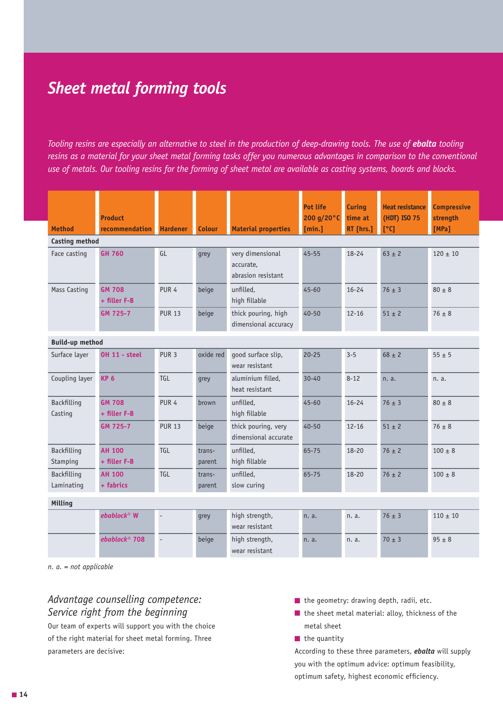### *Sheet metal forming tools*

*Tooling resins are especially an alternative to steel in the production of deep-drawing tools. The use of ebalta tooling resins as a material for your sheet metal forming tasks offer you numerous advantages in comparison to the conventional use of metals. Our tooling resins for the forming of sheet metal are available as casting systems, boards and blocks.* 

|                           | <b>Product</b>                |                          |                  |                                                     | <b>Pot life</b><br>200 g/20°C | <b>Curing</b><br>time at | <b>Heat resistance</b><br>(HDT) ISO 75 | <b>Compressive</b><br>strength |
|---------------------------|-------------------------------|--------------------------|------------------|-----------------------------------------------------|-------------------------------|--------------------------|----------------------------------------|--------------------------------|
| <b>Method</b>             | <b>recommendation</b>         | <b>Hardener</b>          | Colour           | <b>Material properties</b>                          | [min.]                        | RT [hrs.]                | [°C]                                   | [MPa]                          |
| Casting method            |                               |                          |                  |                                                     |                               |                          |                                        |                                |
| Face casting              | <b>GH 760</b>                 | GL                       | grey             | very dimensional<br>accurate,<br>abrasion resistant | $45 - 55$                     | $18 - 24$                | $63 \pm 2$                             | $120 \pm 10$                   |
| <b>Mass Casting</b>       | <b>GM 708</b><br>+ filler F-B | PUR <sub>4</sub>         | beige            | unfilled,<br>high fillable                          | $45 - 60$                     | $16 - 24$                | $76 \pm 3$                             | $80 \pm 8$                     |
|                           | GM 725-7                      | <b>PUR 13</b>            | beige            | thick pouring, high<br>dimensional accuracy         | $40 - 50$                     | $12 - 16$                | $51 \pm 2$                             | $76 \pm 8$                     |
| <b>Build-up method</b>    |                               |                          |                  |                                                     |                               |                          |                                        |                                |
| Surface layer             | <b>OH 11 - steel</b>          | PUR <sub>3</sub>         | oxide red        | qood surface slip,<br>wear resistant                | $20 - 25$                     | $3 - 5$                  | $68 \pm 2$                             | $55 \pm 5$                     |
| Coupling layer            | <b>KP 6</b>                   | TGL                      | grey             | aluminium filled.<br>heat resistant                 | $30 - 40$                     | $8 - 12$                 | n. a.                                  | n. a.                          |
| Backfilling<br>Casting    | <b>GM 708</b><br>+ filler F-B | PUR <sub>4</sub>         | brown            | unfilled,<br>high fillable                          | $45 - 60$                     | $16 - 24$                | $76 \pm 3$                             | $80 \pm 8$                     |
|                           | GM 725-7                      | <b>PUR 13</b>            | beige            | thick pouring, very<br>dimensional accurate         | $40 - 50$                     | $12 - 16$                | $51 \pm 2$                             | $76 \pm 8$                     |
| Backfilling<br>Stamping   | <b>AH 100</b><br>+ filler F-B | TGL                      | trans-<br>parent | unfilled,<br>high fillable                          | 65-75                         | $18 - 20$                | $76 \pm 2$                             | $100 + 8$                      |
| Backfilling<br>Laminating | <b>AH 100</b><br>+ fabrics    | TGL                      | trans-<br>parent | unfilled,<br>slow curing                            | 65-75                         | $18 - 20$                | $76 \pm 2$                             | $100 \pm 8$                    |
| Milling                   |                               |                          |                  |                                                     |                               |                          |                                        |                                |
|                           | $ebablock^{\circledR}$ W      | $\overline{\phantom{a}}$ | grey             | high strength,<br>wear resistant                    | n. a.                         | n. a.                    | $76 \pm 3$                             | $110 \pm 10$                   |
|                           | ebablock <sup>®</sup> 708     | $\overline{a}$           | beige            | high strength,<br>wear resistant                    | n. a.                         | n. a.                    | $70 \pm 3$                             | $95 \pm 8$                     |

 *n. a. = not applicable*

### *Advantage counselling competence: Service right from the beginning*

Our team of experts will support you with the choice of the right material for sheet metal forming. Three parameters are decisive:

- $\blacksquare$  the geometry: drawing depth, radii, etc.
- $\blacksquare$  the sheet metal material: alloy, thickness of the metal sheet
- $\blacksquare$  the quantity

According to these three parameters, *ebalta* will supply you with the optimum advice: optimum feasibility, optimum safety, highest economic efficiency.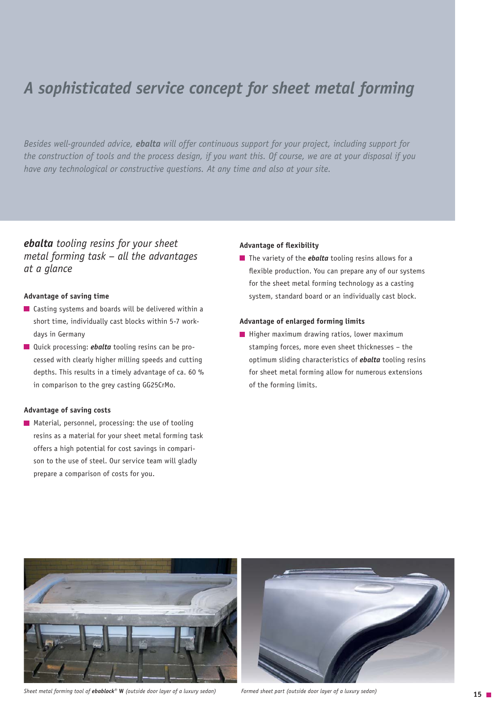### *A sophisticated service concept for sheet metal forming*

*Besides well-grounded advice, ebalta will offer continuous support for your project, including support for the construction of tools and the process design, if you want this. Of course, we are at your disposal if you have any technological or constructive questions. At any time and also at your site.*

*ebalta tooling resins for your sheet metal forming task – all the advantages at a glance*

#### **Advantage of saving time**

- Casting systems and boards will be delivered within a short time, individually cast blocks within 5-7 workdays in Germany
- **Quick processing:** *ebalta* tooling resins can be processed with clearly higher milling speeds and cutting depths. This results in a timely advantage of ca. 60 % in comparison to the grey casting GG25CrMo.

#### **Advantage of saving costs**

**Material, personnel, processing: the use of tooling** resins as a material for your sheet metal forming task offers a high potential for cost savings in comparison to the use of steel. Our service team will gladly prepare a comparison of costs for you.

#### **Advantage of flexibility**

**The variety of the** *ebalta* tooling resins allows for a flexible production. You can prepare any of our systems for the sheet metal forming technology as a casting system, standard board or an individually cast block.

#### **Advantage of enlarged forming limits**

 $\blacksquare$  Higher maximum drawing ratios, lower maximum stamping forces, more even sheet thicknesses – the optimum sliding characteristics of *ebalta* tooling resins for sheet metal forming allow for numerous extensions of the forming limits.





*Sheet metal forming tool of ebablock®* **W** *(outside door layer of a luxury sedan) Formed sheet part (outside door layer of a luxury sedan)*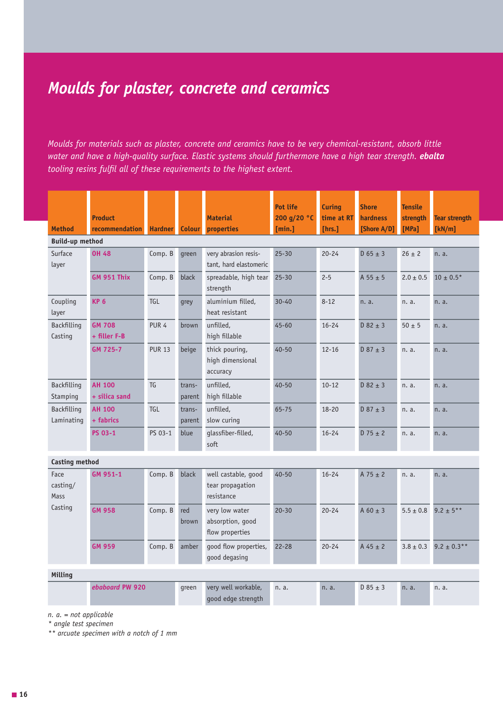### *Moulds for plaster, concrete and ceramics*

*Moulds for materials such as plaster, concrete and ceramics have to be very chemical-resistant, absorb little water and have a high-quality surface. Elastic systems should furthermore have a high tear strength. <i>ebalta tooling resins fulfil all of these requirements to the highest extent.*

|                                  | <b>Product</b>                 |                  |                  | <b>Material</b>                                       | Pot life<br>200 g/20 °C | <b>Curing</b><br>time at RT | <b>Shore</b><br>hardness | <b>Tensile</b><br>strength | <b>Tear strength</b> |
|----------------------------------|--------------------------------|------------------|------------------|-------------------------------------------------------|-------------------------|-----------------------------|--------------------------|----------------------------|----------------------|
| <b>Method</b>                    | recommendation                 | <b>Hardner</b>   | <b>Colour</b>    | properties                                            | [min.]                  | [hrs.]                      | [Shore A/D]              | [MPa]                      | [kN/m]               |
| <b>Build-up method</b>           |                                |                  |                  |                                                       |                         |                             |                          |                            |                      |
| Surface<br>layer                 | <b>OH 48</b>                   | Comp. B          | green            | very abrasion resis-<br>tant, hard elastomeric        | $25 - 30$               | $20 - 24$                   | $D$ 65 $\pm$ 3           | $26 \pm 2$                 | n. a.                |
|                                  | <b>GM 951 Thix</b>             | Comp. B          | black            | spreadable, high tear<br>strength                     | $25 - 30$               | $2 - 5$                     | $A 55 \pm 5$             | $2.0 \pm 0.5$              | $10 \pm 0.5*$        |
| Coupling<br>layer                | <b>KP 6</b>                    | <b>TGL</b>       | grey             | aluminium filled,<br>heat resistant                   | $30 - 40$               | $8 - 12$                    | n. a.                    | n. a.                      | n. a.                |
| Backfilling<br>Casting           | <b>GM 708</b><br>+ filler F-B  | PUR <sub>4</sub> | brown            | unfilled,<br>high fillable                            | $45 - 60$               | $16 - 24$                   | $D$ 82 $\pm$ 3           | $50 \pm 5$                 | n. a.                |
|                                  | GM 725-7                       | <b>PUR 13</b>    | beige            | thick pouring,<br>high dimensional<br>accuracy        | $40 - 50$               | $12 - 16$                   | $D$ 87 $\pm$ 3           | n. a.                      | n. a.                |
| Backfilling<br>Stamping          | <b>AH 100</b><br>+ silica sand | TG               | trans-<br>parent | unfilled,<br>high fillable                            | $40 - 50$               | $10 - 12$                   | $D$ 82 $\pm$ 3           | n. a.                      | n. a.                |
| <b>Backfilling</b><br>Laminating | <b>AH 100</b><br>+ fabrics     | TGL              | trans-<br>parent | unfilled,<br>slow curing                              | $65 - 75$               | $18 - 20$                   | $D$ 87 $\pm$ 3           | n. a.                      | n. a.                |
|                                  | <b>PS 03-1</b>                 | PS 03-1          | blue             | glassfiber-filled,<br>soft                            | $40 - 50$               | $16 - 24$                   | $D$ 75 $\pm$ 2           | n. a.                      | n. a.                |
| <b>Casting method</b>            |                                |                  |                  |                                                       |                         |                             |                          |                            |                      |
| Face<br>casting/<br>Mass         | GM 951-1                       | Comp. B          | black            | well castable, good<br>tear propagation<br>resistance | $40 - 50$               | $16 - 24$                   | $A$ 75 $\pm$ 2           | n. a.                      | n. a.                |
| Casting                          | <b>GM 958</b>                  | Comp. B          | red<br>brown     | very low water<br>absorption, good<br>flow properties | $20 - 30$               | $20 - 24$                   | $A 60 \pm 3$             | $5.5 \pm 0.8$              | $9.2 \pm 5***$       |
|                                  | <b>GM 959</b>                  | Comp. B          | amber            | good flow properties,<br>good degasing                | $22 - 28$               | $20 - 24$                   | $A 45 \pm 2$             | $3.8 \pm 0.3$              | $9.2 \pm 0.3$ **     |
| Milling                          |                                |                  |                  |                                                       |                         |                             |                          |                            |                      |
|                                  | ebaboard PW 920                |                  | green            | very well workable,<br>good edge strength             | n. a.                   | n. a.                       | $D$ 85 $\pm$ 3           | n. a.                      | n. a.                |

 *n. a. = not applicable*

*\* angle test specimen*

*\*\* arcuate specimen with a notch of 1 mm*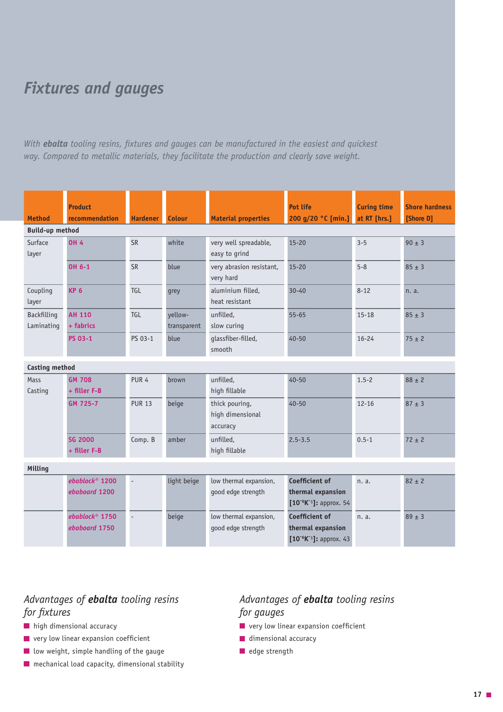### *Fixtures and gauges*

*With ebalta tooling resins, fixtures and gauges can be manufactured in the easiest and quickest way. Compared to metallic materials, they facilitate the production and clearly save weight.*

|                        | <b>Product</b>               |                  |               |                            | <b>Pot life</b>                | <b>Curing time</b> | <b>Shore hardness</b> |
|------------------------|------------------------------|------------------|---------------|----------------------------|--------------------------------|--------------------|-----------------------|
| <b>Method</b>          | <b>recommendation</b>        | <b>Hardener</b>  | <b>Colour</b> | <b>Material properties</b> | 200 g/20 °C [min.]             | at RT [hrs.]       | [Shore D]             |
| <b>Build-up method</b> |                              |                  |               |                            |                                |                    |                       |
| Surface                | <b>OH 4</b>                  | <b>SR</b>        | white         | very well spreadable,      | $15 - 20$                      | $3 - 5$            | $90 \pm 3$            |
| layer                  |                              |                  |               | easy to grind              |                                |                    |                       |
|                        | OH 6-1                       | <b>SR</b>        | blue          | very abrasion resistant,   | $15 - 20$                      | $5 - 8$            | $85 \pm 3$            |
|                        |                              |                  |               | very hard                  |                                |                    |                       |
| Coupling               | <b>KP 6</b>                  | TGL              | qrey          | aluminium filled,          | $30 - 40$                      | $8 - 12$           | n. a.                 |
| layer                  |                              |                  |               | heat resistant             |                                |                    |                       |
| <b>Backfilling</b>     | <b>AH 110</b>                | TGL              | yellow-       | unfilled,                  | $55 - 65$                      | $15 - 18$          | $85 \pm 3$            |
| Laminating             | + fabrics                    |                  | transparent   | slow curing                |                                |                    |                       |
|                        | PS 03-1                      | PS 03-1          | blue          | glassfiber-filled,         | $40 - 50$                      | $16 - 24$          | $75 \pm 2$            |
|                        |                              |                  |               | smooth                     |                                |                    |                       |
| <b>Casting method</b>  |                              |                  |               |                            |                                |                    |                       |
| Mass                   | <b>GM 708</b>                | PUR <sub>4</sub> | brown         | unfilled.                  | $40 - 50$                      | $1.5 - 2$          | $88 \pm 2$            |
| Casting                | $+$ filler $F-B$             |                  |               | high fillable              |                                |                    |                       |
|                        | GM 725-7                     | <b>PUR 13</b>    | beige         | thick pouring,             | $40 - 50$                      | $12 - 16$          | $87 \pm 3$            |
|                        |                              |                  |               | high dimensional           |                                |                    |                       |
|                        |                              |                  |               | accuracy                   |                                |                    |                       |
|                        | <b>SG 2000</b>               | Comp. B          | amber         | unfilled,                  | $2.5 - 3.5$                    | $0.5 - 1$          | $72 \pm 2$            |
|                        | + filler F-B                 |                  |               | high fillable              |                                |                    |                       |
| Milling                |                              |                  |               |                            |                                |                    |                       |
|                        | $ebablock$ <sup>®</sup> 1200 | $\overline{a}$   | light beige   | low thermal expansion,     | Coefficient of                 | n. a.              | $82 \pm 2$            |
|                        | ebaboard 1200                |                  |               | good edge strength         | thermal expansion              |                    |                       |
|                        |                              |                  |               |                            | $[10^{-6}K^{-1}]$ : approx. 54 |                    |                       |
|                        | ebablock <sup>®</sup> $1750$ | $\Box$           | beige         | low thermal expansion,     | Coefficient of                 | n. a.              | $89 \pm 3$            |
|                        | ebaboard 1750                |                  |               | good edge strength         | thermal expansion              |                    |                       |
|                        |                              |                  |               |                            | $[10^{-6}K^{-1}]$ : approx. 43 |                    |                       |

### *Advantages of ebalta tooling resins for fixtures*

- **high dimensional accuracy**
- **u** very low linear expansion coefficient
- **low weight, simple handling of the gauge**
- $\blacksquare$  mechanical load capacity, dimensional stability

### *Advantages of ebalta tooling resins for gauges*

- **very low linear expansion coefficient**
- dimensional accuracy
- $\blacksquare$  edge strength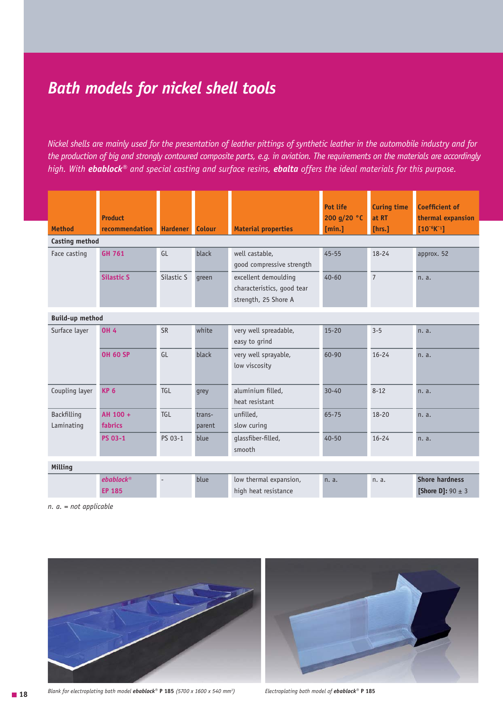### *Bath models for nickel shell tools*

*Nickel shells are mainly used for the presentation of leather pittings of synthetic leather in the automobile industry and for the production of big and strongly contoured composite parts, e.g. in aviation. The requirements on the materials are accordingly high. With ebablock® and special casting and surface resins, ebalta offers the ideal materials for this purpose.* 

| <b>Method</b>             | <b>Product</b><br>recommendation | <b>Hardener</b> | <b>Colour</b>    | <b>Material properties</b>                                                 | Pot life<br>200 g/20 °C<br>[min.] | <b>Curing time</b><br>at RT<br>[hrs.] | <b>Coefficient of</b><br>thermal expansion<br>$[10^{-6}K^{-1}]$ |
|---------------------------|----------------------------------|-----------------|------------------|----------------------------------------------------------------------------|-----------------------------------|---------------------------------------|-----------------------------------------------------------------|
| <b>Casting method</b>     |                                  |                 |                  |                                                                            |                                   |                                       |                                                                 |
| Face casting              | <b>GH 761</b>                    | GL              | black            | well castable,<br>good compressive strength                                | $45 - 55$                         | $18 - 24$                             | approx. 52                                                      |
|                           | <b>Silastic S</b>                | Silastic S      | qreen            | excellent demoulding<br>characteristics, good tear<br>strength, 25 Shore A | $40 - 60$                         | $\overline{7}$                        | n. a.                                                           |
| <b>Build-up method</b>    |                                  |                 |                  |                                                                            |                                   |                                       |                                                                 |
| Surface layer             | <b>OH 4</b>                      | <b>SR</b>       | white            | very well spreadable,<br>easy to grind                                     | $15 - 20$                         | $3 - 5$                               | n. a.                                                           |
|                           | <b>OH 60 SP</b>                  | GI              | black            | very well sprayable,<br>low viscosity                                      | 60-90                             | $16 - 24$                             | n. a.                                                           |
| Coupling layer            | <b>KP 6</b>                      | TGL             | grey             | aluminium filled,<br>heat resistant                                        | $30 - 40$                         | $8 - 12$                              | n. a.                                                           |
| Backfilling<br>Laminating | AH 100 +<br>fabrics              | TGI             | trans-<br>parent | unfilled,<br>slow curing                                                   | 65-75                             | $18 - 20$                             | n. a.                                                           |
|                           | <b>PS 03-1</b>                   | PS 03-1         | blue             | glassfiber-filled,<br>smooth                                               | $40 - 50$                         | $16 - 24$                             | n. a.                                                           |
| Milling                   |                                  |                 |                  |                                                                            |                                   |                                       |                                                                 |
|                           | $ebablock^*$<br><b>EP 185</b>    |                 | blue             | low thermal expansion,<br>high heat resistance                             | n. a.                             | n. a.                                 | <b>Shore hardness</b><br><b>[Shore D]:</b> 90 $\pm$ 3           |

 *n. a. = not applicable*



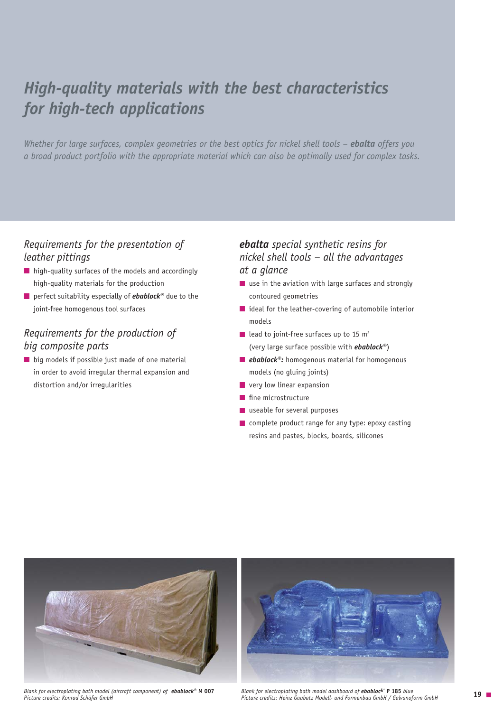### *High-quality materials with the best characteristics for high-tech applications*

*Whether for large surfaces, complex geometries or the best optics for nickel shell tools – <i>ebalta* offers you *a broad product portfolio with the appropriate material which can also be optimally used for complex tasks.* 

### *Requirements for the presentation of leather pittings*

- **high-quality surfaces of the models and accordingly** high-quality materials for the production
- perfect suitability especially of *ebablock***®** due to the joint-free homogenous tool surfaces

### *Requirements for the production of big composite parts*

**big models if possible just made of one material** in order to avoid irregular thermal expansion and distortion and/or irregularities

### *ebalta special synthetic resins for nickel shell tools – all the advantages at a glance*

- use in the aviation with large surfaces and strongly contoured geometries
- $\blacksquare$  ideal for the leather-covering of automobile interior models
- lead to joint-free surfaces up to 15  $m<sup>2</sup>$ (very large surface possible with *ebablock®*)
- *ebablock®*: homogenous material for homogenous models (no gluing joints)
- **very low linear expansion**
- fine microstructure
- **u** useable for several purposes
- **Complete product range for any type: epoxy casting** resins and pastes, blocks, boards, silicones



**19** *Blank for electroplating bath model (aircraft component) of ebablock®* **M 007** *Picture credits: Heinz Gaubatz Modell- und Formenbau GmbH / Galvanoform GmbH Picture credits: Konrad Schäfer GmbH*



*Blank for electroplating bath model dashboard of ebablock®* **P 185** *blue*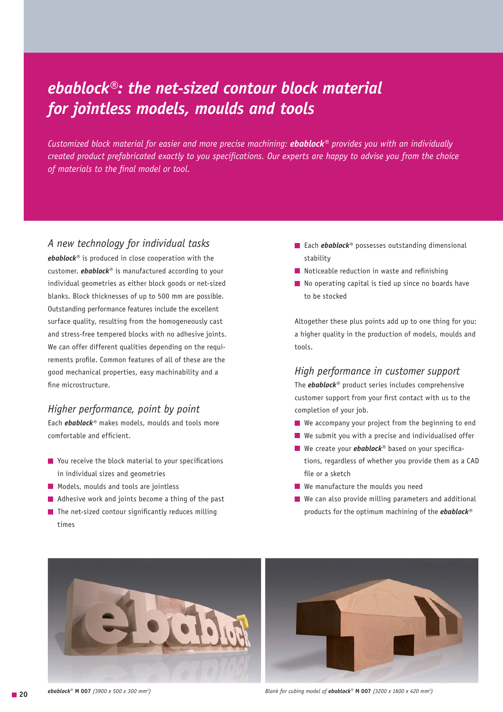### *ebablock®: the net-sized contour block material for jointless models, moulds and tools*

*Customized block material for easier and more precise machining: ebablock® provides you with an individually created product prefabricated exactly to you specifications. Our experts are happy to advise you from the choice of materials to the final model or tool.*

### *A new technology for individual tasks*

*ebablock®* is produced in close cooperation with the customer. *ebablock®* is manufactured according to your individual geometries as either block goods or net-sized blanks. Block thicknesses of up to 500 mm are possible. Outstanding performance features include the excellent surface quality, resulting from the homogeneously cast and stress-free tempered blocks with no adhesive joints. We can offer different qualities depending on the requirements profile. Common features of all of these are the good mechanical properties, easy machinability and a fine microstructure.

### *Higher performance, point by point*

Each *ebablock®* makes models, moulds and tools more comfortable and efficient.

- **T** You receive the block material to your specifications in individual sizes and geometries
- **Models, moulds and tools are jointless**
- **Adhesive work and joints become a thing of the past**
- $\blacksquare$  The net-sized contour significantly reduces milling times
- Each *ebablock®* possesses outstanding dimensional stability
- $\blacksquare$  Noticeable reduction in waste and refinishing
- $\blacksquare$  No operating capital is tied up since no boards have to be stocked

Altogether these plus points add up to one thing for you: a higher quality in the production of models, moulds and tools.

#### *High performance in customer support*

The *ebablock®* product series includes comprehensive customer support from your first contact with us to the completion of your job.

- We accompany your project from the beginning to end
- We submit you with a precise and individualised offer
- We create your *ebablock*<sup>®</sup> based on your specifica tions, regardless of whether you provide them as a CAD file or a sketch
- We manufacture the moulds you need
- We can also provide milling parameters and additional products for the optimum machining of the *ebablock®*





■ **20** *ebablock***<sup>®</sup> M 007** (3900 x 500 x 300 mm<sup>3</sup>)

*) Blank for cubing model of ebablock*® **M 007** *(3200 x 1600 x 420 mm3 )*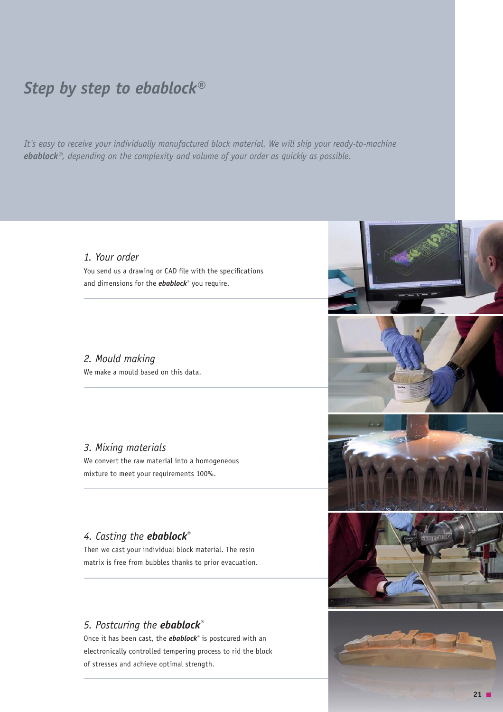### *Step by step to ebablock®*

*It´s easy to receive your individually manufactured block material. We will ship your ready-to-machine ebablock®, depending on the complexity and volume of your order as quickly as possible.*

### *1. Your order*

You send us a drawing or CAD file with the specifications and dimensions for the *ebablock®* you require.

### *2. Mould making*

We make a mould based on this data.

#### *3. Mixing materials*

We convert the raw material into a homogeneous mixture to meet your requirements 100%.

### *4. Casting the ebablock®*

Then we cast your individual block material. The resin matrix is free from bubbles thanks to prior evacuation.

### *5. Postcuring the ebablock®*

Once it has been cast, the *ebablock®* is postcured with an electronically controlled tempering process to rid the block of stresses and achieve optimal strength.



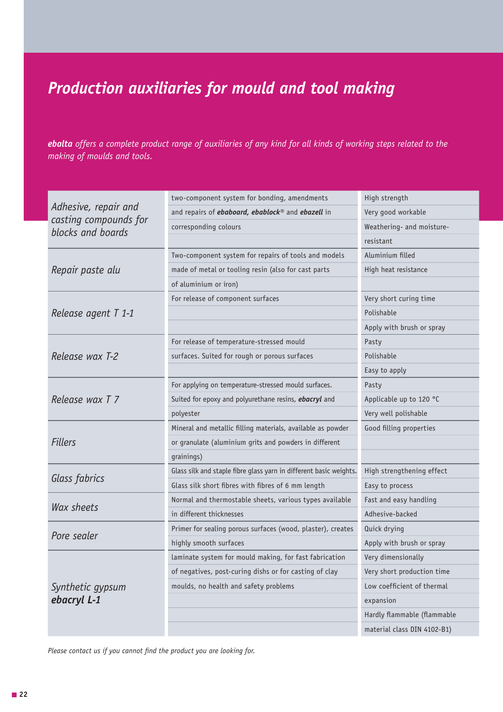## *Production auxiliaries for mould and tool making*

*ebalta offers a complete product range of auxiliaries of any kind for all kinds of working steps related to the making of moulds and tools.*

|                                            | two-component system for bonding, amendments                            | High strength               |
|--------------------------------------------|-------------------------------------------------------------------------|-----------------------------|
| Adhesive, repair and                       | and repairs of <i>ebaboard</i> , <i>ebablock®</i> and <i>ebazell</i> in | Very good workable          |
| casting compounds for<br>blocks and boards | corresponding colours                                                   | Weathering- and moisture-   |
|                                            |                                                                         | resistant                   |
|                                            | Two-component system for repairs of tools and models                    | Aluminium filled            |
| Repair paste alu                           | made of metal or tooling resin (also for cast parts                     | High heat resistance        |
|                                            | of aluminium or iron)                                                   |                             |
|                                            | For release of component surfaces                                       | Very short curing time      |
| Release agent T 1-1                        |                                                                         | Polishable                  |
|                                            |                                                                         | Apply with brush or spray   |
|                                            | For release of temperature-stressed mould                               | Pasty                       |
| Release wax T-2                            | surfaces. Suited for rough or porous surfaces                           | Polishable                  |
|                                            |                                                                         | Easy to apply               |
|                                            | For applying on temperature-stressed mould surfaces.                    | Pasty                       |
| Release wax T 7                            | Suited for epoxy and polyurethane resins, <b>ebacryl</b> and            | Applicable up to 120 °C     |
|                                            | polyester                                                               | Very well polishable        |
|                                            | Mineral and metallic filling materials, available as powder             | Good filling properties     |
| <b>Fillers</b>                             | or granulate (aluminium grits and powders in different                  |                             |
|                                            | grainings)                                                              |                             |
|                                            | Glass silk and staple fibre glass yarn in different basic weights.      | High strengthening effect   |
| Glass fabrics                              | Glass silk short fibres with fibres of 6 mm length                      | Easy to process             |
|                                            | Normal and thermostable sheets, various types available                 | Fast and easy handling      |
| Wax sheets                                 | in different thicknesses                                                | Adhesive-backed             |
| Pore sealer                                | Primer for sealing porous surfaces (wood, plaster), creates             | Quick drying                |
|                                            | highly smooth surfaces                                                  | Apply with brush or spray   |
|                                            | laminate system for mould making, for fast fabrication                  | Very dimensionally          |
|                                            | of negatives, post-curing dishs or for casting of clay                  | Very short production time  |
| Synthetic gypsum                           | moulds, no health and safety problems                                   | Low coefficient of thermal  |
| ebacryl L-1                                |                                                                         | expansion                   |
|                                            |                                                                         | Hardly flammable (flammable |
|                                            |                                                                         | material class DIN 4102-B1) |

*Please contact us if you cannot find the product you are looking for.*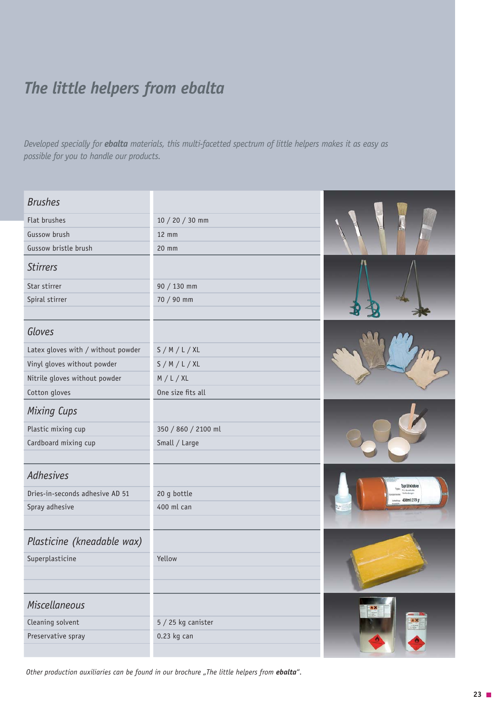### *The little helpers from ebalta*

*Developed specially for ebalta materials, this multi-facetted spectrum of little helpers makes it as easy as possible for you to handle our products.*

| <b>Brushes</b>                     |                     |                                                                     |
|------------------------------------|---------------------|---------------------------------------------------------------------|
| Flat brushes                       | $10 / 20 / 30$ mm   |                                                                     |
| Gussow brush                       | $12$ mm             |                                                                     |
| Gussow bristle brush               | 20 mm               |                                                                     |
| <b>Stirrers</b>                    |                     |                                                                     |
| Star stirrer                       | 90 / 130 mm         |                                                                     |
| Spiral stirrer                     | 70 / 90 mm          |                                                                     |
|                                    |                     |                                                                     |
| Gloves                             |                     |                                                                     |
| Latex gloves with / without powder | S/M/L/XL            |                                                                     |
| Vinyl gloves without powder        | S/M/L/XL            |                                                                     |
| Nitrile gloves without powder      | M/L/XL              |                                                                     |
| Cotton gloves                      | One size fits all   |                                                                     |
| <b>Mixing Cups</b>                 |                     |                                                                     |
| Plastic mixing cup                 | 350 / 860 / 2100 ml |                                                                     |
| Cardboard mixing cup               | Small / Large       |                                                                     |
|                                    |                     |                                                                     |
| <b>Adhesives</b>                   |                     | Sprühklebr                                                          |
| Dries-in-seconds adhesive AD 51    | 20 g bottle         | 00ml 279                                                            |
| Spray adhesive                     | 400 ml can          |                                                                     |
|                                    |                     |                                                                     |
| Plasticine (kneadable wax)         |                     |                                                                     |
| Superplasticine                    | Yellow              |                                                                     |
|                                    |                     |                                                                     |
|                                    |                     |                                                                     |
| <b>Miscellaneous</b>               |                     |                                                                     |
| Cleaning solvent                   | $5/25$ kg canister  | $\begin{array}{ c c }\hline \bullet & \times \\ \hline \end{array}$ |
| Preservative spray                 | $0.23$ kg can       |                                                                     |
|                                    |                     |                                                                     |

*Other production auxiliaries can be found in our brochure "The little helpers from <i>ebalta*".